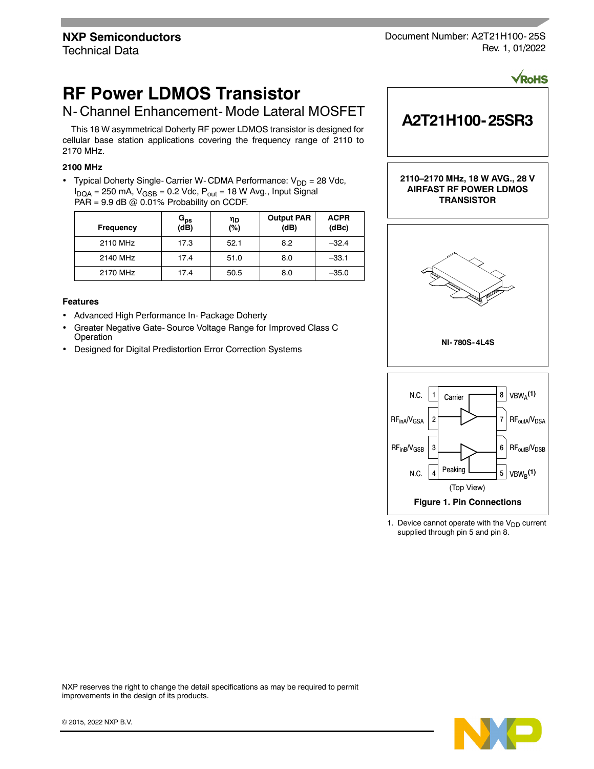Document Number: A2T21H100- 25S Rev. 1, 01/2022

# **RF Power LDMOS Transistor**

# N- Channel Enhancement- Mode Lateral MOSFET

This 18 W asymmetrical Doherty RF power LDMOS transistor is designed for cellular base station applications covering the frequency range of 2110 to 2170 MHz.

# **2100 MHz**

• Typical Doherty Single- Carrier W- CDMA Performance:  $V_{DD} = 28$  Vdc,  $I_{DQA}$  = 250 mA,  $V_{GSB}$  = 0.2 Vdc,  $P_{out}$  = 18 W Avg., Input Signal PAR =  $9.9$  dB @ 0.01% Probability on CCDF.

| Frequency | G <sub>ps</sub><br>(dB) | ηD<br>(%) | <b>Output PAR</b><br>(dB) | <b>ACPR</b><br>(dBc) |
|-----------|-------------------------|-----------|---------------------------|----------------------|
| 2110 MHz  | 17.3                    | 52.1      | 8.2                       | $-32.4$              |
| 2140 MHz  | 17.4                    | 51.0      | 8.0                       | $-33.1$              |
| 2170 MHz  | 17.4                    | 50.5      | 8.0                       | $-35.0$              |

#### **Features**

- Advanced High Performance In- Package Doherty
- Greater Negative Gate- Source Voltage Range for Improved Class C Operation
- Designed for Digital Predistortion Error Correction Systems



<sup>1.</sup> Device cannot operate with the  $V_{DD}$  current supplied through pin 5 and pin 8.

NXP reserves the right to change the detail specifications as may be required to permit improvements in the design of its products.

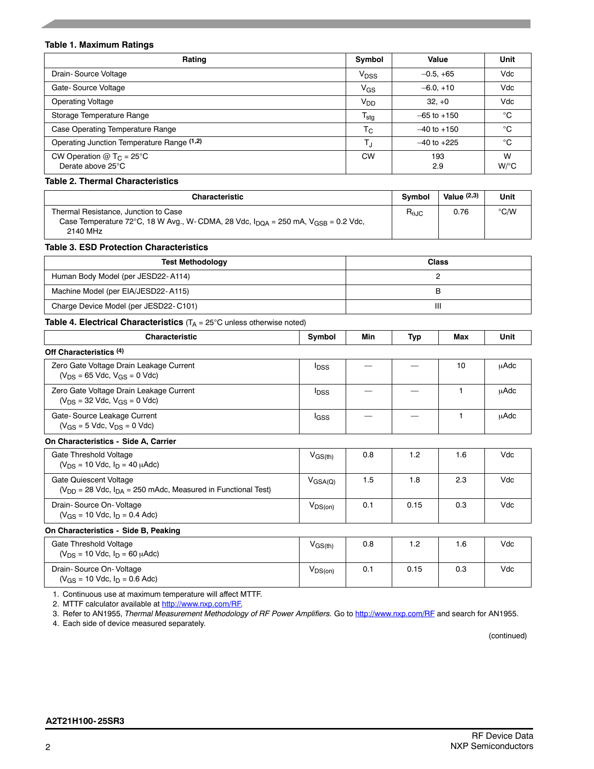#### **Table 1. Maximum Ratings**

| Rating                                                      | Symbol                    | Value           | Unit                      |
|-------------------------------------------------------------|---------------------------|-----------------|---------------------------|
| Drain-Source Voltage                                        | $V_{\text{DSS}}$          | $-0.5, +65$     | Vdc                       |
| Gate-Source Voltage                                         | VGS                       | $-6.0, +10$     | Vdc                       |
| <b>Operating Voltage</b>                                    | V <sub>DD</sub>           | $32. +0$        | Vdc                       |
| Storage Temperature Range                                   | $\mathsf{T_{\text{stg}}}$ | $-65$ to $+150$ | °C                        |
| Case Operating Temperature Range                            | $T_{C}$                   | $-40$ to $+150$ | $^{\circ}$ C              |
| Operating Junction Temperature Range (1,2)                  | TJ                        | $-40$ to $+225$ | °C                        |
| CW Operation $@$ T <sub>C</sub> = 25°C<br>Derate above 25°C | <b>CW</b>                 | 193<br>2.9      | W<br>$W$ <sup>o</sup> $C$ |

#### **Table 2. Thermal Characteristics**

| <b>Characteristic</b>                                                                                                                                        | <b>Symbol</b>          | Value $(2,3)$ | Unit          |
|--------------------------------------------------------------------------------------------------------------------------------------------------------------|------------------------|---------------|---------------|
| Thermal Resistance, Junction to Case<br>Case Temperature 72°C, 18 W Avg., W-CDMA, 28 Vdc, $I_{\text{DOA}} = 250$ mA, $V_{\text{GSB}} = 0.2$ Vdc,<br>2140 MHz | $R_{\theta \text{JC}}$ | 0.76          | $\degree$ C/W |

#### **Table 3. ESD Protection Characteristics**

| <b>Test Methodology</b>               | <b>Class</b> |
|---------------------------------------|--------------|
| Human Body Model (per JESD22-A114)    |              |
| Machine Model (per EIA/JESD22-A115)   |              |
| Charge Device Model (per JESD22-C101) | Ш            |

# **Table 4. Electrical Characteristics** (T<sub>A</sub> = 25°C unless otherwise noted)

| <b>Characteristic</b>                                                                           | Symbol                  | Min           | <b>Typ</b> | Max    | Unit        |
|-------------------------------------------------------------------------------------------------|-------------------------|---------------|------------|--------|-------------|
| Off Characteristics <sup>(4)</sup>                                                              |                         |               |            |        |             |
| Zero Gate Voltage Drain Leakage Current<br>$(V_{DS} = 65$ Vdc, $V_{GS} = 0$ Vdc)                | <b>I</b> <sub>DSS</sub> |               |            | 10     | uAdc        |
| Zero Gate Voltage Drain Leakage Current<br>$(V_{DS} = 32$ Vdc, $V_{GS} = 0$ Vdc)                | <b>I</b> <sub>DSS</sub> |               |            | 1      | <b>uAdc</b> |
| Gate-Source Leakage Current<br>$(V_{GS} = 5$ Vdc, $V_{DS} = 0$ Vdc)                             | l <sub>GSS</sub>        |               |            |        | <b>uAdc</b> |
| On Characteristics - Side A, Carrier                                                            |                         |               |            |        |             |
| Gate Threshold Voltage<br>$(V_{DS} = 10$ Vdc, $I_D = 40$ $\mu$ Adc)                             | $V_{\rm GS(th)}$        | 0.8           | 1.2        | 1.6    | Vdc         |
| Gate Quiescent Voltage<br>$(V_{DD} = 28$ Vdc, $I_{DA} = 250$ mAdc, Measured in Functional Test) | $V_{\text{GSA(Q)}}$     | 1.5           | 1.8        | 2.3    | Vdc         |
| Drain-Source On-Voltage<br>$(V_{GS} = 10$ Vdc, $I_D = 0.4$ Adc)                                 | $V_{DS(on)}$            | 0.1           | 0.15       | 0.3    | Vdc         |
| On Characteristics - Side B, Peaking                                                            |                         |               |            |        |             |
| $\sim$ $\sim$ $\sim$ $\sim$ $\sim$ $\sim$ $\sim$ $\sim$                                         | $\ddot{\phantom{1}}$    | $\sim$ $\sim$ | $\sim$     | $\sim$ | $\cdots$    |

| Gate Threshold Voltage<br>$(V_{DS} = 10$ Vdc, $I_D = 60$ $\mu$ Adc) | $V_{GS(th)}$ | 0.8 | $\cdot$ .2 | 6.، | Vdc |
|---------------------------------------------------------------------|--------------|-----|------------|-----|-----|
| Drain-Source On-Voltage<br>$(V_{GS} = 10$ Vdc, $I_D = 0.6$ Adc)     | $V_{DS(on)}$ | 0.1 | 0.15       | 0.3 | Vdc |

1. Continuous use at maximum temperature will affect MTTF.

2. MTTF calculator available at http://www.nxp.com/RF.

3. Refer to AN1955, *Thermal Measurement Methodology of RF Power Amplifiers.* Go to http://www.nxp.com/RF and search for AN1955.

4. Each side of device measured separately.

(continued)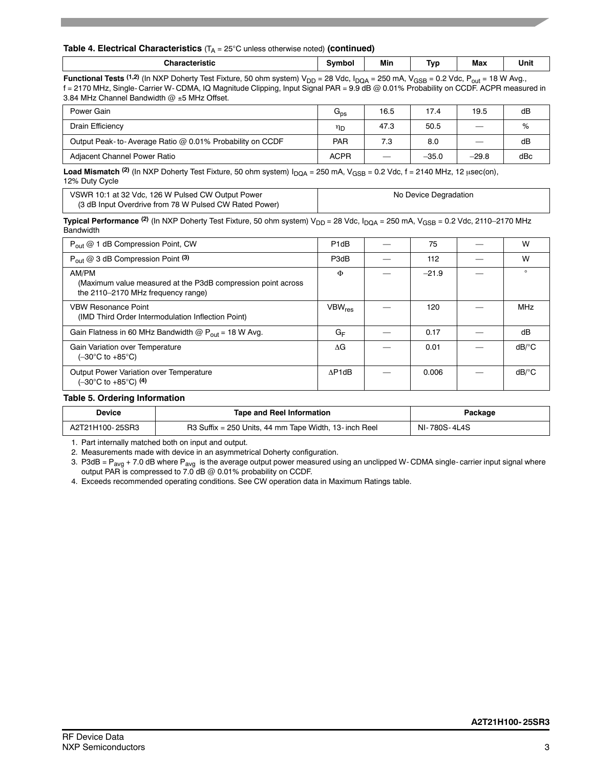#### **Table 4. Electrical Characteristics**  $(T_A = 25^{\circ}C$  unless otherwise noted) (continued)

| <u>ъъ.</u><br>---------<br>.m | Min | $\overline{\phantom{a}}$<br>Tvr | $ -$<br>Max | Unit |
|-------------------------------|-----|---------------------------------|-------------|------|
|                               |     |                                 |             |      |

**Functional Tests** (1,2) (In NXP Doherty Test Fixture, 50 ohm system) V<sub>DD</sub> = 28 Vdc, I<sub>DQA</sub> = 250 mA, V<sub>GSB</sub> = 0.2 Vdc, P<sub>out</sub> = 18 W Avg., f = 2170 MHz, Single- Carrier W- CDMA, IQ Magnitude Clipping, Input Signal PAR = 9.9 dB @ 0.01% Probability on CCDF. ACPR measured in 3.84 MHz Channel Bandwidth  $@$  ±5 MHz Offset.

| Power Gain                                               | $G_{\text{ps}}$ | 16.5 | 17.4    | 19.5                           | dB  |
|----------------------------------------------------------|-----------------|------|---------|--------------------------------|-----|
| Drain Efficiency                                         | ηD              | 47.3 | 50.5    | –                              | %   |
| Output Peak-to-Average Ratio @ 0.01% Probability on CCDF | <b>PAR</b>      | 7.3  | 8.0     | $\qquad \qquad \longleftarrow$ | dB  |
| Adiacent Channel Power Ratio                             | <b>ACPR</b>     |      | $-35.0$ | $-29.8$                        | dBc |

**Load Mismatch** <sup>(2)</sup> (In NXP Doherty Test Fixture, 50 ohm system)  $I_{DQA} = 250$  mA,  $V_{GSB} = 0.2$  Vdc, f = 2140 MHz, 12 usec(on), 12% Duty Cycle

| VSWR 10:1 at 32 Vdc. 126 W Pulsed CW Output Power      | No Device Degradation |
|--------------------------------------------------------|-----------------------|
| (3 dB Input Overdrive from 78 W Pulsed CW Rated Power) |                       |

**Typical Performance** <sup>(2)</sup> (In NXP Doherty Test Fixture, 50 ohm system) V<sub>DD</sub> = 28 Vdc, I<sub>DQA</sub> = 250 mA, V<sub>GSB</sub> = 0.2 Vdc, 2110–2170 MHz Bandwidth

| $P_{\text{out}} @ 1$ dB Compression Point, CW                                                               | P <sub>1dB</sub>         | 75      | W                   |
|-------------------------------------------------------------------------------------------------------------|--------------------------|---------|---------------------|
| $P_{out}$ @ 3 dB Compression Point (3)                                                                      | P3dB                     | 112     | W                   |
| AM/PM<br>(Maximum value measured at the P3dB compression point across<br>the 2110-2170 MHz frequency range) | Φ                        | $-21.9$ | $\Omega$            |
| <b>VBW Resonance Point</b><br>(IMD Third Order Intermodulation Inflection Point)                            | <b>VBW<sub>res</sub></b> | 120     | <b>MHz</b>          |
| Gain Flatness in 60 MHz Bandwidth $@P_{out} = 18$ W Avg.                                                    | GF                       | 0.17    | dB                  |
| Gain Variation over Temperature<br>$(-30^{\circ}$ C to $+85^{\circ}$ C)                                     | ΛG                       | 0.01    | $dB$ <sup>o</sup> C |
| Output Power Variation over Temperature<br>$(-30^{\circ} \text{C}$ to $+85^{\circ} \text{C})$ (4)           | AP1dB                    | 0.006   | $dB$ <sup>o</sup> C |

#### **Table 5. Ordering Information**

| Device          | <b>Tape and Reel Information</b>                       | Package      |
|-----------------|--------------------------------------------------------|--------------|
| A2T21H100-25SR3 | R3 Suffix = 250 Units, 44 mm Tape Width, 13- inch Reel | NI-780S-4L4S |

1. Part internally matched both on input and output.

2. Measurements made with device in an asymmetrical Doherty configuration.

3. P3dB =  $P_{avg}$  + 7.0 dB where  $P_{avg}$  is the average output power measured using an unclipped W-CDMA single- carrier input signal where output PAR is compressed to 7.0 dB @ 0.01% probability on CCDF.

4. Exceeds recommended operating conditions. See CW operation data in Maximum Ratings table.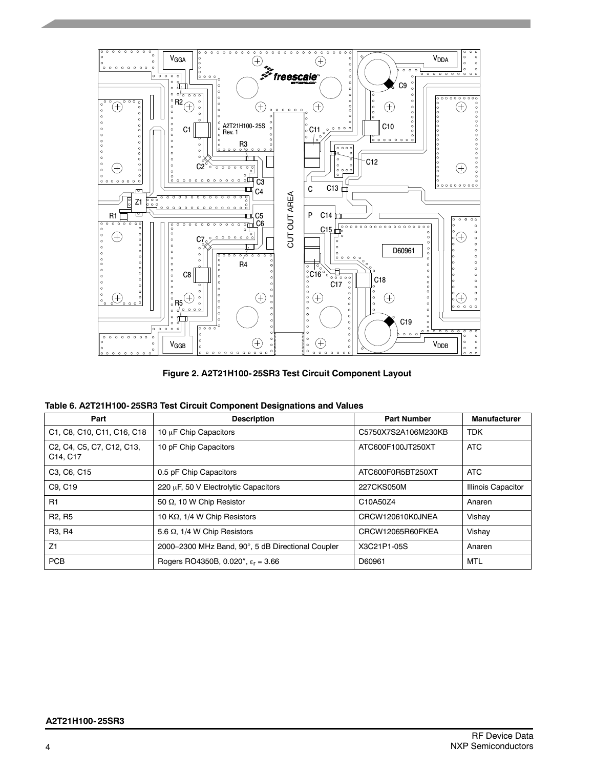

|  |  | Table 6. A2T21H100-25SR3 Test Circuit Component Designations and Values |
|--|--|-------------------------------------------------------------------------|
|--|--|-------------------------------------------------------------------------|

| Part                                                                                                                                         | <b>Description</b>                                | <b>Part Number</b>  | <b>Manufacturer</b>       |
|----------------------------------------------------------------------------------------------------------------------------------------------|---------------------------------------------------|---------------------|---------------------------|
| C1, C8, C10, C11, C16, C18                                                                                                                   | 10 µF Chip Capacitors                             | C5750X7S2A106M230KB | <b>TDK</b>                |
| C <sub>2</sub> , C <sub>4</sub> , C <sub>5</sub> , C <sub>7</sub> , C <sub>12</sub> , C <sub>13</sub> ,<br>C <sub>14</sub> , C <sub>17</sub> | 10 pF Chip Capacitors                             | ATC600F100JT250XT   | <b>ATC</b>                |
| C <sub>3</sub> . C <sub>6</sub> . C <sub>15</sub>                                                                                            | 0.5 pF Chip Capacitors                            | ATC600F0R5BT250XT   | <b>ATC</b>                |
| C9, C19                                                                                                                                      | 220 µF, 50 V Electrolytic Capacitors              | 227CKS050M          | <b>Illinois Capacitor</b> |
| R1                                                                                                                                           | 50 Q, 10 W Chip Resistor                          | C10A50Z4            | Anaren                    |
| R <sub>2</sub> , R <sub>5</sub>                                                                                                              | 10 KΩ, 1/4 W Chip Resistors                       | CRCW120610K0JNEA    | Vishay                    |
| R <sub>3</sub> . R <sub>4</sub>                                                                                                              | 5.6 $\Omega$ , 1/4 W Chip Resistors               | CRCW12065R60FKEA    | Vishay                    |
| Z1                                                                                                                                           | 2000-2300 MHz Band, 90°, 5 dB Directional Coupler | X3C21P1-05S         | Anaren                    |
| <b>PCB</b>                                                                                                                                   | Rogers RO4350B, 0.020", $\epsilon_r = 3.66$       | D60961              | MTL                       |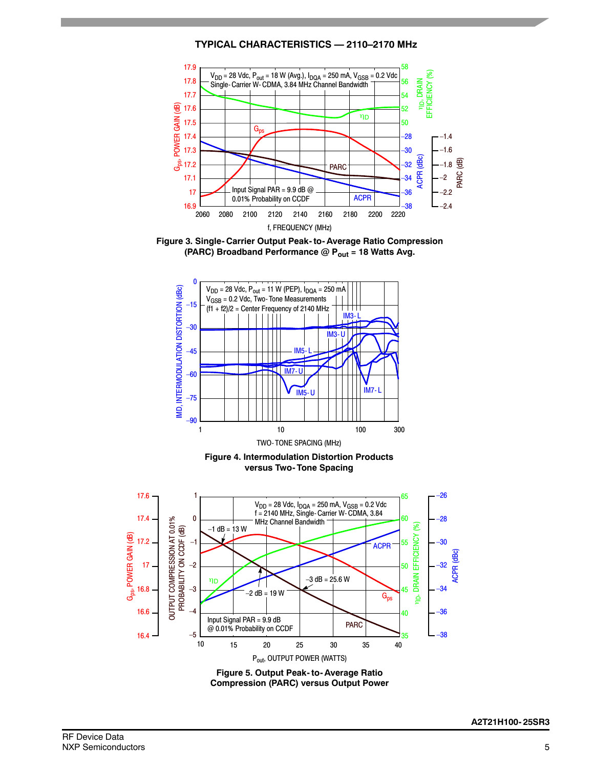**TYPICAL CHARACTERISTICS — 2110–2170 MHz**



**Figure 3. Single- Carrier Output Peak- to- Average Ratio Compression** (PARC) Broadband Performance @ P<sub>out</sub> = 18 Watts Avg.



**Figure 4. Intermodulation Distortion Products versus Two- Tone Spacing**



RF Device Data NXP Semiconductors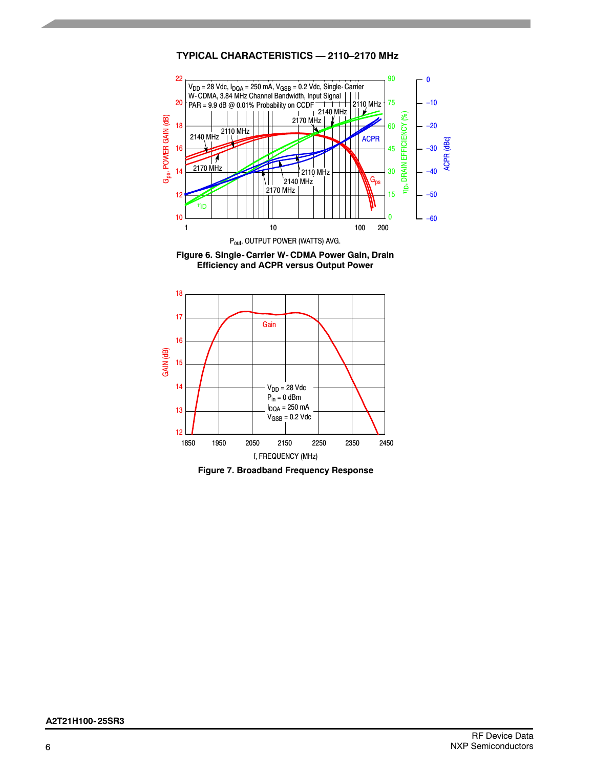## **TYPICAL CHARACTERISTICS — 2110–2170 MHz**







**Figure 7. Broadband Frequency Response**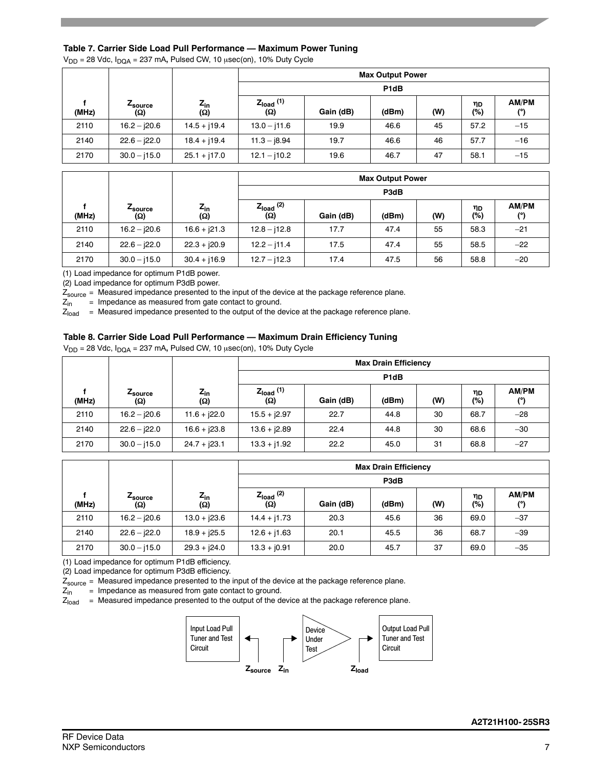#### **Table 7. Carrier Side Load Pull Performance — Maximum Power Tuning**

 $V_{DD}$  = 28 Vdc,  $I_{DQA}$  = 237 mA, Pulsed CW, 10  $\mu$ sec(on), 10% Duty Cycle

|       |                        |                      |                       |           | <b>Max Output Power</b> |     |           |              |
|-------|------------------------|----------------------|-----------------------|-----------|-------------------------|-----|-----------|--------------|
|       |                        |                      |                       |           | P <sub>1</sub> dB       |     |           |              |
| (MHz) | <i>L</i> source<br>(Ω) | $Z_{in}$<br><b>Ω</b> | $Z_{load}$ (1)<br>(Ω) | Gain (dB) | (dBm)                   | (W) | ηD<br>(%) | AM/PM<br>(°) |
| 2110  | $16.2 - 120.6$         | $14.5 + j19.4$       | $13.0 - j11.6$        | 19.9      | 46.6                    | 45  | 57.2      | $-15$        |
| 2140  | $22.6 - j22.0$         | $18.4 + j19.4$       | $11.3 - 18.94$        | 19.7      | 46.6                    | 46  | 57.7      | $-16$        |
| 2170  | $30.0 - j15.0$         | $25.1 + j17.0$       | $12.1 - j10.2$        | 19.6      | 46.7                    | 47  | 58.1      | $-15$        |

|       |                        |                        |                       |           | <b>Max Output Power</b> |     |           |              |  |
|-------|------------------------|------------------------|-----------------------|-----------|-------------------------|-----|-----------|--------------|--|
|       |                        |                        |                       | P3dB      |                         |     |           |              |  |
| (MHz) | <i>L</i> source<br>(O) | $Z_{in}$<br><b>(Ω)</b> | $Z_{load}$ (2)<br>(Ω) | Gain (dB) | (dBm)                   | (W) | ηD<br>(%) | AM/PM<br>(°) |  |
| 2110  | $16.2 - j20.6$         | $16.6 + j21.3$         | $12.8 - j12.8$        | 17.7      | 47.4                    | 55  | 58.3      | $-21$        |  |
| 2140  | $22.6 - j22.0$         | $22.3 + j20.9$         | $12.2 - j11.4$        | 17.5      | 47.4                    | 55  | 58.5      | $-22$        |  |
| 2170  | $30.0 - j15.0$         | $30.4 + j16.9$         | $12.7 - j12.3$        | 17.4      | 47.5                    | 56  | 58.8      | $-20$        |  |

(1) Load impedance for optimum P1dB power.

(2) Load impedance for optimum P3dB power.

 $Z_{source}$  = Measured impedance presented to the input of the device at the package reference plane.<br> $Z_{in}$  = Impedance as measured from gate contact to ground.

 $Z_{\text{in}}$  = Impedance as measured from gate contact to ground.<br> $Z_{\text{load}}$  = Measured impedance presented to the output of the d

= Measured impedance presented to the output of the device at the package reference plane.

#### **Table 8. Carrier Side Load Pull Performance — Maximum Drain Efficiency Tuning**

 $V_{DD}$  = 28 Vdc,  $I_{DQA}$  = 237 mA, Pulsed CW, 10  $\mu$ sec(on), 10% Duty Cycle

|       |                |                     | <b>Max Drain Efficiency</b>  |                   |       |     |           |              |  |  |
|-------|----------------|---------------------|------------------------------|-------------------|-------|-----|-----------|--------------|--|--|
|       |                |                     |                              | P <sub>1</sub> dB |       |     |           |              |  |  |
| (MHz) | Zsource<br>(Q) | $z_{\rm in}$<br>(Ω) | $Z_{load}$ (1)<br><b>(Ω)</b> | Gain (dB)         | (dBm) | (W) | ηD<br>(%) | AM/PM<br>(°) |  |  |
| 2110  | $16.2 - j20.6$ | $11.6 + j22.0$      | $15.5 + j2.97$               | 22.7              | 44.8  | 30  | 68.7      | $-28$        |  |  |
| 2140  | $22.6 - j22.0$ | $16.6 + j23.8$      | $13.6 + j2.89$               | 22.4              | 44.8  | 30  | 68.6      | $-30$        |  |  |
| 2170  | $30.0 - j15.0$ | $24.7 + j23.1$      | $13.3 + j1.92$               | 22.2              | 45.0  | 31  | 68.8      | $-27$        |  |  |

|       |                        |                     | <b>Max Drain Efficiency</b> |           |       |     |           |              |  |
|-------|------------------------|---------------------|-----------------------------|-----------|-------|-----|-----------|--------------|--|
|       |                        |                     |                             |           | P3dB  |     |           |              |  |
| (MHz) | <i>L</i> source<br>(Ω) | $Z_{\rm in}$<br>(Ω) | $Z_{load}$ (2)<br><b>Ω)</b> | Gain (dB) | (dBm) | (W) | ηD<br>(%) | AM/PM<br>(°) |  |
| 2110  | $16.2 - j20.6$         | $13.0 + j23.6$      | $14.4 + 17.73$              | 20.3      | 45.6  | 36  | 69.0      | $-37$        |  |
| 2140  | $22.6 - j22.0$         | $18.9 + j25.5$      | $12.6 + j1.63$              | 20.1      | 45.5  | 36  | 68.7      | $-39$        |  |
| 2170  | $30.0 - j15.0$         | $29.3 + j24.0$      | $13.3 + j0.91$              | 20.0      | 45.7  | 37  | 69.0      | $-35$        |  |

(1) Load impedance for optimum P1dB efficiency.

(2) Load impedance for optimum P3dB efficiency.

 $Z_{source}$  = Measured impedance presented to the input of the device at the package reference plane.<br> $Z_{in}$  = Impedance as measured from gate contact to ground.

 $\check{}$  = Impedance as measured from gate contact to ground.

 $Z_{load}$  = Measured impedance presented to the output of the device at the package reference plane.

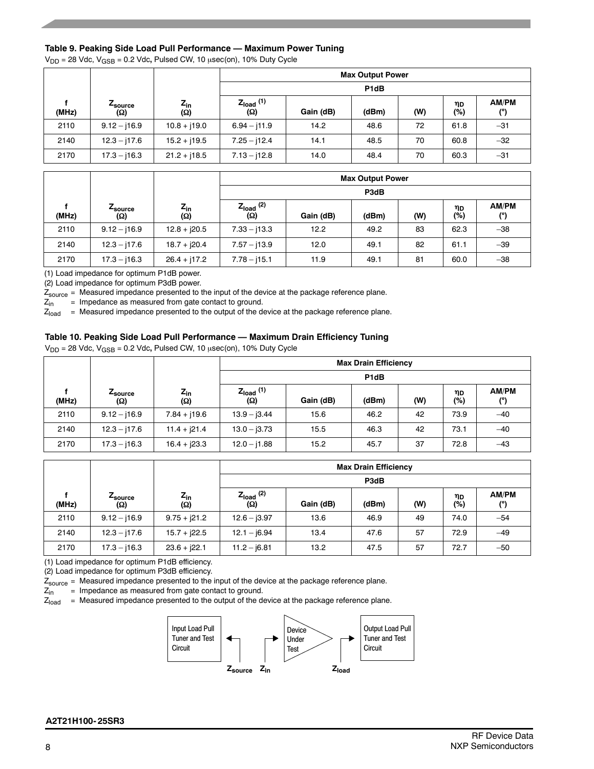#### **Table 9. Peaking Side Load Pull Performance — Maximum Power Tuning**

V<sub>DD</sub> = 28 Vdc, V<sub>GSB</sub> = 0.2 Vdc, Pulsed CW, 10  $\mu$ sec(on), 10% Duty Cycle

|       |                        |                 |                       |                   | <b>Max Output Power</b> |     |           |                     |  |  |
|-------|------------------------|-----------------|-----------------------|-------------------|-------------------------|-----|-----------|---------------------|--|--|
|       |                        |                 |                       | P <sub>1</sub> dB |                         |     |           |                     |  |  |
| (MHz) | <i>L</i> source<br>(Ω) | $Z_{in}$<br>(Ω) | $Z_{load}$ (1)<br>(Ω) | Gain (dB)         | (dBm)                   | (W) | ηD<br>(%) | <b>AM/PM</b><br>(°) |  |  |
| 2110  | $9.12 - 16.9$          | $10.8 + j19.0$  | $6.94 - j11.9$        | 14.2              | 48.6                    | 72  | 61.8      | $-31$               |  |  |
| 2140  | $12.3 - j17.6$         | $15.2 + j19.5$  | $7.25 - 112.4$        | 14.1              | 48.5                    | 70  | 60.8      | $-32$               |  |  |
| 2170  | $17.3 - 16.3$          | $21.2 + j18.5$  | $7.13 - j12.8$        | 14.0              | 48.4                    | 70  | 60.3      | $-31$               |  |  |

|       |                        |                        | <b>Max Output Power</b> |           |       |     |           |                     |  |  |
|-------|------------------------|------------------------|-------------------------|-----------|-------|-----|-----------|---------------------|--|--|
|       |                        |                        |                         | P3dB      |       |     |           |                     |  |  |
| (MHz) | <i>L</i> source<br>(Ω) | $Z_{\text{in}}$<br>(Ω) | $Z_{load}$ (2)<br>(Ω)   | Gain (dB) | (dBm) | (W) | ηD<br>(%) | <b>AM/PM</b><br>(°) |  |  |
| 2110  | $9.12 - 116.9$         | $12.8 + j20.5$         | $7.33 - 113.3$          | 12.2      | 49.2  | 83  | 62.3      | $-38$               |  |  |
| 2140  | $12.3 - j17.6$         | $18.7 + j20.4$         | $7.57 - j13.9$          | 12.0      | 49.1  | 82  | 61.1      | $-39$               |  |  |
| 2170  | $17.3 - 16.3$          | $26.4 + j17.2$         | $7.78 - 115.1$          | 11.9      | 49.1  | 81  | 60.0      | $-38$               |  |  |

(1) Load impedance for optimum P1dB power.

(2) Load impedance for optimum P3dB power.

 $Z_{source}$  = Measured impedance presented to the input of the device at the package reference plane.<br> $Z_{in}$  = Impedance as measured from gate contact to ground.

= Impedance as measured from gate contact to ground.

 $Z<sub>load</sub>$  = Measured impedance presented to the output of the device at the package reference plane.

#### **Table 10. Peaking Side Load Pull Performance — Maximum Drain Efficiency Tuning**

 $V_{DD}$  = 28 Vdc,  $V_{GSB}$  = 0.2 Vdc, Pulsed CW, 10  $\mu$ sec(on), 10% Duty Cycle

|       |                |                        | <b>Max Drain Efficiency</b> |           |       |     |           |              |  |  |
|-------|----------------|------------------------|-----------------------------|-----------|-------|-----|-----------|--------------|--|--|
|       |                |                        | P <sub>1</sub> dB           |           |       |     |           |              |  |  |
| (MHz) | Zsource<br>(Ω) | $Z_{\text{in}}$<br>(Ω) | $Z_{load}$ (1)<br>(Ω)       | Gain (dB) | (dBm) | (W) | ηD<br>(%) | AM/PM<br>(°) |  |  |
| 2110  | $9.12 - 16.9$  | $7.84 + j19.6$         | $13.9 - j3.44$              | 15.6      | 46.2  | 42  | 73.9      | $-40$        |  |  |
| 2140  | $12.3 - j17.6$ | $11.4 + j21.4$         | $13.0 - j3.73$              | 15.5      | 46.3  | 42  | 73.1      | $-40$        |  |  |
| 2170  | $17.3 - j16.3$ | $16.4 + j23.3$         | $12.0 - j1.88$              | 15.2      | 45.7  | 37  | 72.8      | $-43$        |  |  |

| <b>Max Drain Efficiency</b> |                        |                     |                       |           |       |     |           |       |  |
|-----------------------------|------------------------|---------------------|-----------------------|-----------|-------|-----|-----------|-------|--|
|                             |                        |                     |                       |           | P3dB  |     |           |       |  |
| (MHz)                       | <i>L</i> source<br>(Ω) | $z_{\sf in}$<br>(Ω) | $Z_{load}$ (2)<br>(Ω) | Gain (dB) | (dBm) | (W) | ηD<br>(%) | AM/PM |  |
| 2110                        | $9.12 - 16.9$          | $9.75 + j21.2$      | $12.6 - j3.97$        | 13.6      | 46.9  | 49  | 74.0      | $-54$ |  |
| 2140                        | $12.3 - j17.6$         | $15.7 + j22.5$      | $12.1 - j6.94$        | 13.4      | 47.6  | 57  | 72.9      | $-49$ |  |
| 2170                        | $17.3 - 16.3$          | $23.6 + j22.1$      | $11.2 - j6.81$        | 13.2      | 47.5  | 57  | 72.7      | $-50$ |  |

(1) Load impedance for optimum P1dB efficiency.

(2) Load impedance for optimum P3dB efficiency.

 $Z_{\text{source}}$  = Measured impedance presented to the input of the device at the package reference plane.<br> $Z_{\text{in}}$  = Impedance as measured from gate contact to ground.

 $Z_{\text{in}}$  = Impedance as measured from gate contact to ground.<br> $Z_{\text{load}}$  = Measured impedance presented to the output of the de

= Measured impedance presented to the output of the device at the package reference plane.

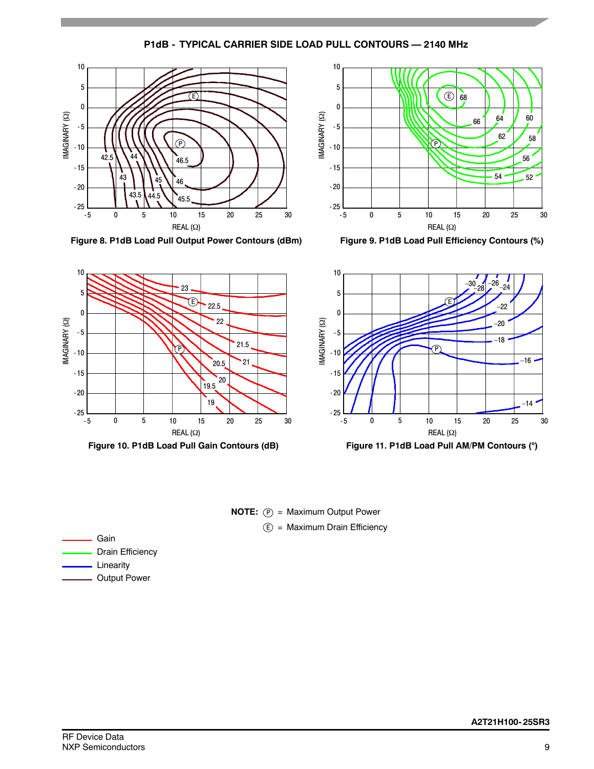**P1dB - TYPICAL CARRIER SIDE LOAD PULL CONTOURS — 2140 MHz**



**Figure 8. P1dB Load Pull Output Power Contours (dBm)**



**Figure 9. P1dB Load Pull Efficiency Contours (%)**



**NOTE:**  $(P) =$  Maximum Output Power E) = Maximum Drain Efficiency

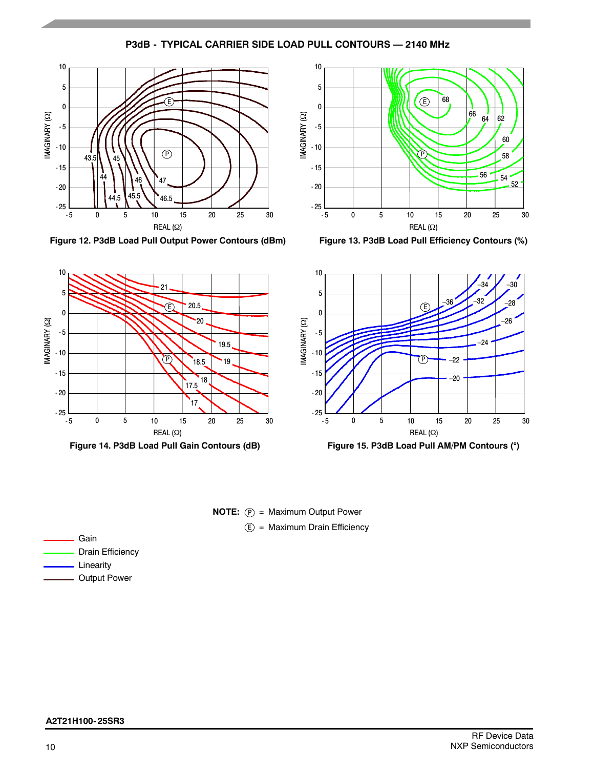# **P3dB - TYPICAL CARRIER SIDE LOAD PULL CONTOURS — 2140 MHz**



**Figure 12. P3dB Load Pull Output Power Contours (dBm)**



**Figure 13. P3dB Load Pull Efficiency Contours (%)**







| Gain                    |
|-------------------------|
| <b>Drain Efficiency</b> |
| <b>__</b> Linearity     |
| <b>Output Power</b>     |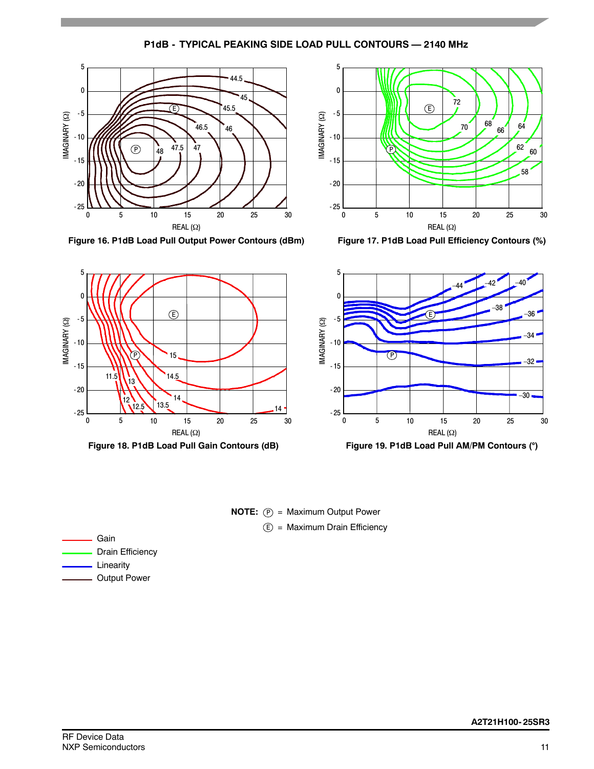**P1dB - TYPICAL PEAKING SIDE LOAD PULL CONTOURS — 2140 MHz**



**Figure 16. P1dB Load Pull Output Power Contours (dBm)**



**Figure 17. P1dB Load Pull Efficiency Contours (%)**



**Figure 18. P1dB Load Pull Gain Contours (dB) Figure 19. P1dB Load Pull AM/PM Contours ()**



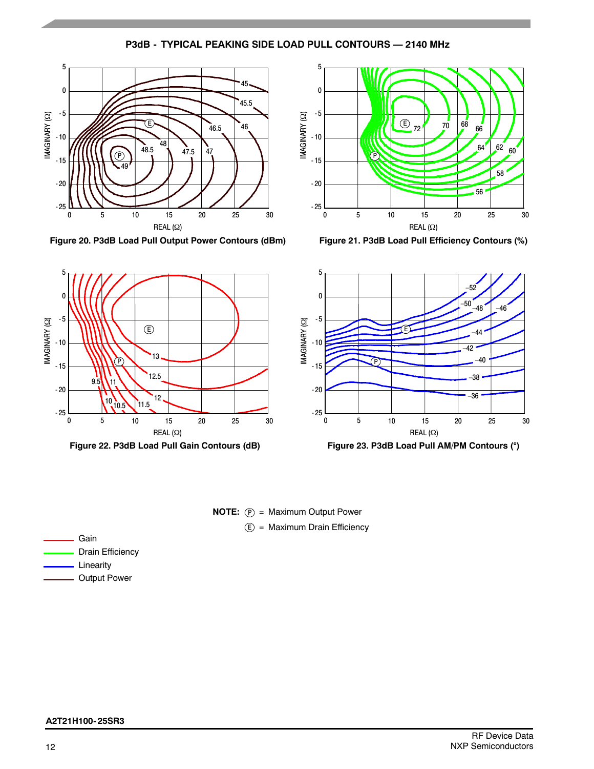# **P3dB - TYPICAL PEAKING SIDE LOAD PULL CONTOURS — 2140 MHz**



**Figure 20. P3dB Load Pull Output Power Contours (dBm)**



**Figure 21. P3dB Load Pull Efficiency Contours (%)**



**Figure 22. P3dB Load Pull Gain Contours (dB) Figure 23. P3dB Load Pull AM/PM Contours ()**



E) = Maximum Drain Efficiency

| Gain                |
|---------------------|
| Drain Efficiency    |
| Linearity           |
| <b>Output Power</b> |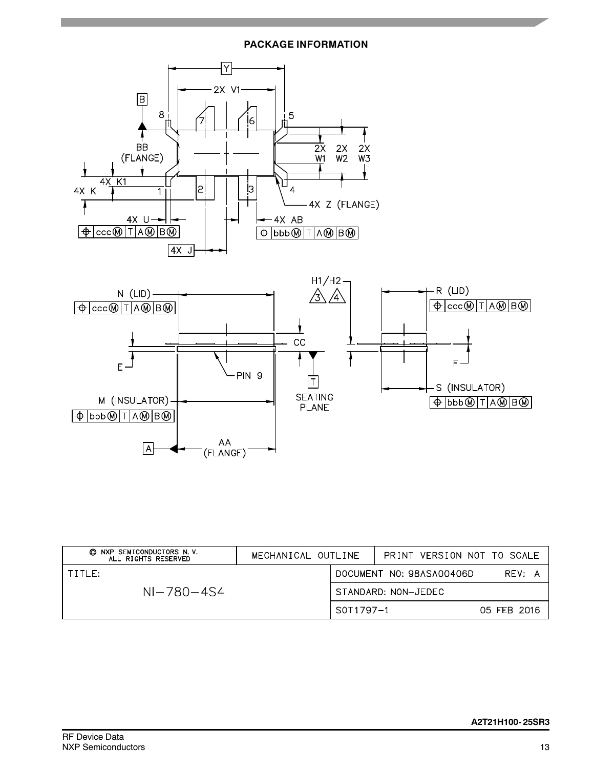# **PACKAGE INFORMATION**



| NXP SEMICONDUCTORS N.V.<br>O.<br>ALL RIGHTS RESERVED | MECHANICAL OUTLINE |                          |                     | PRINT VERSION NOT TO SCALE |             |  |
|------------------------------------------------------|--------------------|--------------------------|---------------------|----------------------------|-------------|--|
| TTITIF:                                              |                    | DOCUMENT NO: 98ASA00406D |                     |                            | REV: A      |  |
| $NI - 780 - 454$                                     |                    |                          | STANDARD: NON-JEDEC |                            |             |  |
|                                                      |                    | S0T1797-1                |                     |                            | 05 FEB 2016 |  |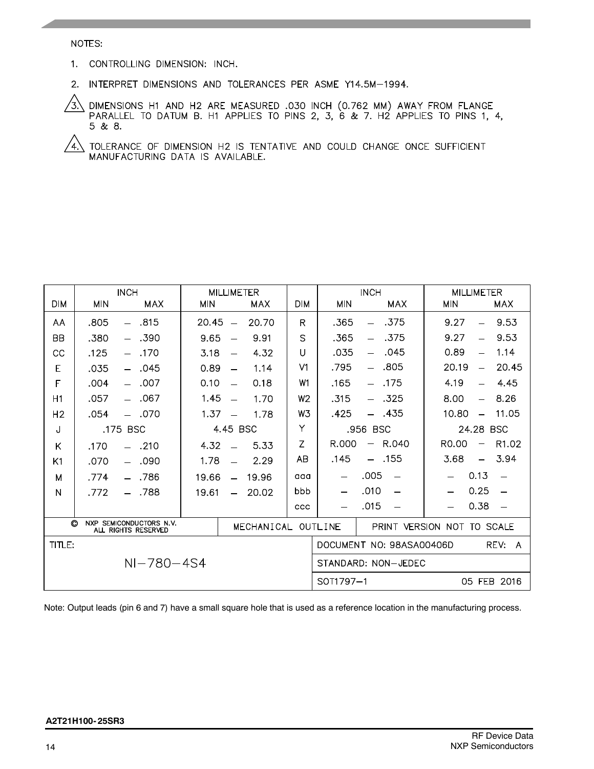#### NOTES:

- 1. CONTROLLING DIMENSION: INCH.
- 2. INTERPRET DIMENSIONS AND TOLERANCES PER ASME Y14.5M-1994.

DIMENSIONS H1 AND H2 ARE MEASURED .030 INCH (0.762 MM) AWAY FROM FLANGE PARALLEL TO DATUM B. H1 APPLIES TO PINS 2, 3, 6 & 7. H2 APPLIES TO PINS 1, 4, ʹ3) 5 & 8.

TOLERANCE OF DIMENSION H2 IS TENTATIVE AND COULD CHANGE ONCE SUFFICIENT MANUFACTURING DATA IS AVAILABLE.  $\sqrt{4}$ 

|                                                                                     | <b>INCH</b> |                                  | <b>MILLIMETER</b> |                          |            |                            | <b>INCH</b>                           |                                  | <b>MILLIMETER</b>                 |                          |
|-------------------------------------------------------------------------------------|-------------|----------------------------------|-------------------|--------------------------|------------|----------------------------|---------------------------------------|----------------------------------|-----------------------------------|--------------------------|
| <b>DIM</b>                                                                          | MIN         | <b>MAX</b>                       | <b>MIN</b>        |                          | <b>MAX</b> | <b>DIM</b>                 | <b>MIN</b>                            | <b>MAX</b>                       | <b>MIN</b>                        | MAX                      |
| AA                                                                                  | .805        | .815<br>$\sim$                   | 20.45             | $\equiv$                 | 20.70      | R                          | .365                                  | .375<br>$\qquad \qquad -$        | 9.27<br>÷,                        | 9.53                     |
| <b>BB</b>                                                                           | .380        | .390<br>$\sim$                   | 9.65              |                          | 9.91       | S                          | .365                                  | .375<br>$\equiv$                 | 9.27                              | 9.53                     |
| CC                                                                                  | .125        | .170<br>$-$                      | 3.18              |                          | 4.32       | $\cup$                     | .035                                  | .045<br>$\overline{\phantom{0}}$ | 0.89<br>$\overline{\phantom{0}}$  | 1.14                     |
| Е                                                                                   | .035        | .045<br>$\equiv$                 | 0.89              | $\overline{\phantom{0}}$ | 1.14       | V <sub>1</sub>             | .795                                  | .805                             | 20.19<br>$\overline{\phantom{0}}$ | 20.45                    |
| F                                                                                   | .004        | .007<br>$\sim$                   | 0.10              |                          | 0.18       | W1                         | .165                                  | .175<br>$\equiv$                 | 4.19                              | 4.45<br>$\equiv$         |
| H1                                                                                  | .057        | .067<br>$\overline{\phantom{0}}$ | 1.45              | $\equiv$                 | 1.70       | W <sub>2</sub>             | .315                                  | $-325$                           | 8.00<br>$\qquad \qquad =$         | 8.26                     |
| H <sub>2</sub>                                                                      | .054        | $-.070$                          | 1.37              | $\overline{\phantom{0}}$ | 1.78       | W <sub>3</sub>             | .425                                  | - .435                           | 10.80<br>$\overline{\phantom{m}}$ | 11.05                    |
| J                                                                                   | .175 BSC    |                                  | 4.45 BSC          |                          |            | Υ                          | .956 BSC                              |                                  | 24.28 BSC                         |                          |
| Κ                                                                                   | .170        | $-.210$                          | 4.32              |                          | 5.33       | Z                          | R.000                                 | R.040<br>—                       | R <sub>0</sub> .00                | R <sub>1.02</sub>        |
| K1                                                                                  | .070        | .090<br>$\equiv$                 | 1.78              |                          | 2.29       | AB                         | .145                                  | .155<br>$\overline{\phantom{0}}$ | 3.68<br>$\equiv$                  | 3.94                     |
| м                                                                                   | .774        | .786                             | 19.66             | $\overline{\phantom{0}}$ | 19.96      | aaa                        |                                       | .005                             | 0.13                              | $\overline{\phantom{0}}$ |
| N                                                                                   | .772        | - .788                           | 19.61             | $\overline{\phantom{0}}$ | 20.02      | bbb                        |                                       | .010                             | 0.25                              |                          |
|                                                                                     |             |                                  |                   |                          |            | ccc                        |                                       | .015                             | 0.38                              |                          |
| O<br><b>NXP</b><br>SEMICONDUCTORS N.V.<br>MECHANICAL OUTLINE<br>ALL RIGHTS RESERVED |             |                                  |                   |                          |            | PRINT VERSION NOT TO SCALE |                                       |                                  |                                   |                          |
| TITLE:                                                                              |             |                                  |                   |                          |            |                            | DOCUMENT NO: 98ASA00406D<br>REV:<br>A |                                  |                                   |                          |
| $NI - 780 - 454$                                                                    |             |                                  |                   |                          |            |                            | STANDARD: NON-JEDEC                   |                                  |                                   |                          |
|                                                                                     |             |                                  |                   |                          |            |                            | 05 FEB 2016<br>SOT1797-1              |                                  |                                   |                          |

Note: Output leads (pin 6 and 7) have a small square hole that is used as a reference location in the manufacturing process.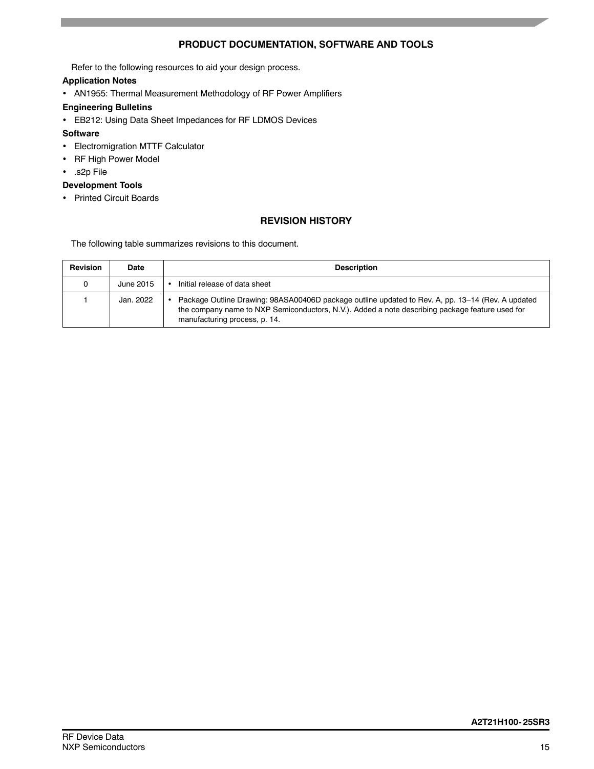# **PRODUCT DOCUMENTATION, SOFTWARE AND TOOLS**

Refer to the following resources to aid your design process.

#### **Application Notes**

- AN1955: Thermal Measurement Methodology of RF Power Amplifiers
- **Engineering Bulletins**
- EB212: Using Data Sheet Impedances for RF LDMOS Devices

### **Software**

- Electromigration MTTF Calculator
- RF High Power Model
- .s2p File

# **Development Tools**

• Printed Circuit Boards

# **REVISION HISTORY**

The following table summarizes revisions to this document.

| <b>Revision</b> | Date      | <b>Description</b>                                                                                                                                                                                                                    |
|-----------------|-----------|---------------------------------------------------------------------------------------------------------------------------------------------------------------------------------------------------------------------------------------|
| 0               | June 2015 | Initial release of data sheet                                                                                                                                                                                                         |
|                 | Jan. 2022 | Package Outline Drawing: 98ASA00406D package outline updated to Rev. A, pp. 13–14 (Rev. A updated<br>the company name to NXP Semiconductors, N.V.). Added a note describing package feature used for<br>manufacturing process, p. 14. |